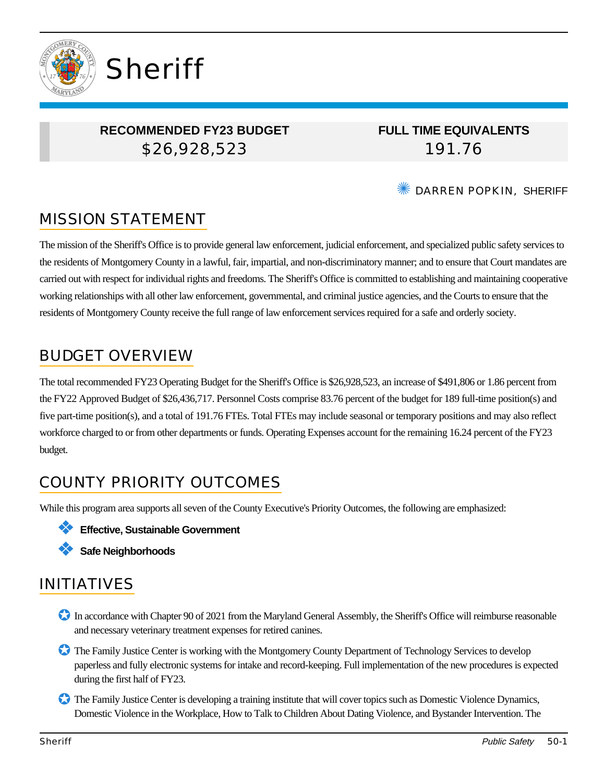

## **RECOMMENDED FY23 BUDGET** \$26,928,523

**FULL TIME EQUIVALENTS** 191.76

✺ DARREN POPKIN, SHERIFF

# MISSION STATEMENT

The mission of the Sheriff's Office is to provide general law enforcement, judicial enforcement, and specialized public safety services to the residents of Montgomery County in a lawful, fair, impartial, and non-discriminatory manner; and to ensure that Court mandates are carried out with respect for individual rights and freedoms. The Sheriff's Office is committed to establishing and maintaining cooperative working relationships with all other law enforcement, governmental, and criminal justice agencies, and the Courts to ensure that the residents of Montgomery County receive the full range of law enforcement services required for a safe and orderly society.

# BUDGET OVERVIEW

The total recommended FY23 Operating Budget for the Sheriff's Office is \$26,928,523, an increase of \$491,806 or 1.86 percent from the FY22 Approved Budget of \$26,436,717. Personnel Costs comprise 83.76 percent of the budget for 189 full-time position(s) and five part-time position(s), and a total of 191.76 FTEs. Total FTEs may include seasonal or temporary positions and may also reflect workforce charged to or from other departments or funds. Operating Expenses account for the remaining 16.24 percent of the FY23 budget.

# COUNTY PRIORITY OUTCOMES

While this program area supports all seven of the County Executive's Priority Outcomes, the following are emphasized:

- ❖ **Effective, Sustainable Government**
- ❖ **Safe Neighborhoods**

# INITIATIVES

- ✪ In accordance with Chapter 90 of 2021 from the Maryland General Assembly, the Sheriff's Office will reimburse reasonable and necessary veterinary treatment expenses for retired canines.
- ✪ The Family Justice Center is working with the Montgomery County Department of Technology Services to develop paperless and fully electronic systems for intake and record-keeping. Full implementation of the new procedures is expected during the first half of FY23.
- ✪ The Family Justice Center is developing a training institute that will cover topics such as Domestic Violence Dynamics, Domestic Violence in the Workplace, How to Talk to Children About Dating Violence, and Bystander Intervention. The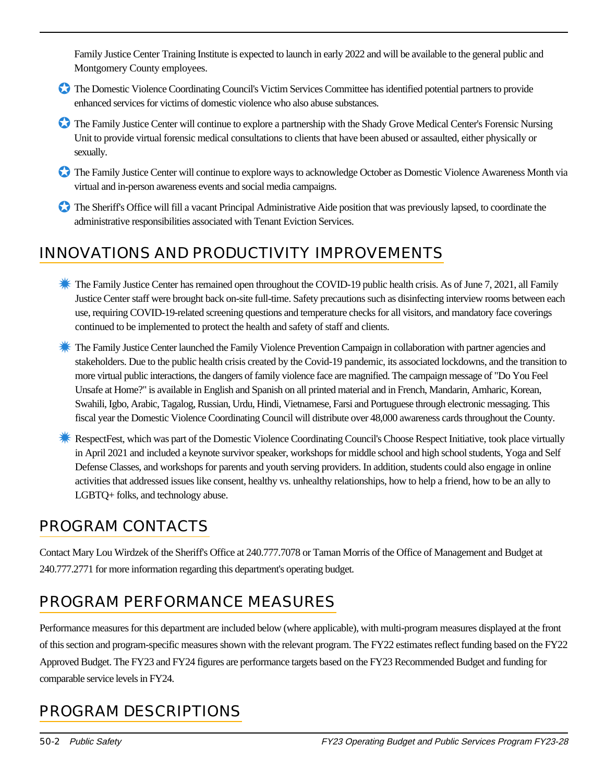Family Justice Center Training Institute is expected to launch in early 2022 and will be available to the general public and Montgomery County employees.

- ✪ The Domestic Violence Coordinating Council's Victim Services Committee has identified potential partners to provide enhanced services for victims of domestic violence who also abuse substances.
- ✪ The Family Justice Center will continue to explore a partnership with the Shady Grove Medical Center's Forensic Nursing Unit to provide virtual forensic medical consultations to clients that have been abused or assaulted, either physically or sexually.
- ✪ The Family Justice Center will continue to explore ways to acknowledge October as Domestic Violence Awareness Month via virtual and in-person awareness events and social media campaigns.
- The Sheriff's Office will fill a vacant Principal Administrative Aide position that was previously lapsed, to coordinate the administrative responsibilities associated with Tenant Eviction Services.

# INNOVATIONS AND PRODUCTIVITY IMPROVEMENTS

- **Example 1** The Family Justice Center has remained open throughout the COVID-19 public health crisis. As of June 7, 2021, all Family Justice Center staff were brought back on-site full-time. Safety precautions such as disinfecting interview rooms between each use, requiring COVID-19-related screening questions and temperature checks for all visitors, and mandatory face coverings continued to be implemented to protect the health and safety of staff and clients.
- **<sup>\*\*</sup>** The Family Justice Center launched the Family Violence Prevention Campaign in collaboration with partner agencies and stakeholders. Due to the public health crisis created by the Covid-19 pandemic, its associated lockdowns, and the transition to more virtual public interactions, the dangers of family violence face are magnified. The campaign message of "Do You Feel Unsafe at Home?" is available in English and Spanish on all printed material and in French, Mandarin, Amharic, Korean, Swahili, Igbo, Arabic, Tagalog, Russian, Urdu, Hindi, Vietnamese, Farsi and Portuguese through electronic messaging. This fiscal year the Domestic Violence Coordinating Council will distribute over 48,000 awareness cards throughout the County.
- **K** RespectFest, which was part of the Domestic Violence Coordinating Council's Choose Respect Initiative, took place virtually in April 2021 and included a keynote survivor speaker, workshops for middle school and high school students, Yoga and Self Defense Classes, and workshops for parents and youth serving providers. In addition, students could also engage in online activities that addressed issues like consent, healthy vs. unhealthy relationships, how to help a friend, how to be an ally to LGBTQ+ folks, and technology abuse.

# PROGRAM CONTACTS

Contact Mary Lou Wirdzek of the Sheriff's Office at 240.777.7078 or Taman Morris of the Office of Management and Budget at 240.777.2771 for more information regarding this department's operating budget.

# PROGRAM PERFORMANCE MEASURES

Performance measures for this department are included below (where applicable), with multi-program measures displayed at the front of this section and program-specific measures shown with the relevant program. The FY22 estimates reflect funding based on the FY22 Approved Budget. The FY23 and FY24 figures are performance targets based on the FY23 Recommended Budget and funding for comparable service levels in FY24.

# PROGRAM DESCRIPTIONS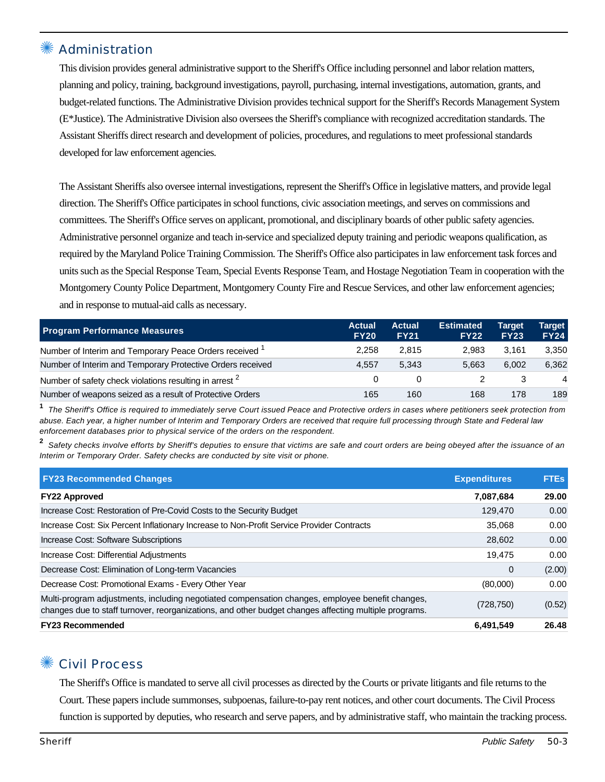## **Administration**

This division provides general administrative support to the Sheriff's Office including personnel and labor relation matters, planning and policy, training, background investigations, payroll, purchasing, internal investigations, automation, grants, and budget-related functions. The Administrative Division provides technical support for the Sheriff's Records Management System (E\*Justice). The Administrative Division also oversees the Sheriff's compliance with recognized accreditation standards. The Assistant Sheriffs direct research and development of policies, procedures, and regulations to meet professional standards developed for law enforcement agencies.

The Assistant Sheriffs also oversee internal investigations, represent the Sheriff's Office in legislative matters, and provide legal direction. The Sheriff's Office participates in school functions, civic association meetings, and serves on commissions and committees. The Sheriff's Office serves on applicant, promotional, and disciplinary boards of other public safety agencies. Administrative personnel organize and teach in-service and specialized deputy training and periodic weapons qualification, as required by the Maryland Police Training Commission. The Sheriff's Office also participates in law enforcement task forces and units such as the Special Response Team, Special Events Response Team, and Hostage Negotiation Team in cooperation with the Montgomery County Police Department, Montgomery County Fire and Rescue Services, and other law enforcement agencies; and in response to mutual-aid calls as necessary.

| <b>Program Performance Measures</b>                                | <b>Actual</b><br><b>FY20</b> | <b>Actual</b><br><b>FY21</b> | <b>Estimated</b><br><b>FY22</b> | <b>Target</b><br><b>FY23</b> | Target<br><b>FY24</b> |
|--------------------------------------------------------------------|------------------------------|------------------------------|---------------------------------|------------------------------|-----------------------|
| Number of Interim and Temporary Peace Orders received <sup>1</sup> | 2.258                        | 2.815                        | 2.983                           | 3.161                        | 3,350                 |
| Number of Interim and Temporary Protective Orders received         | 4.557                        | 5.343                        | 5.663                           | 6.002                        | 6.362                 |
| Number of safety check violations resulting in arrest 2            |                              |                              |                                 |                              | 4                     |
| Number of weapons seized as a result of Protective Orders          | 165                          | 160                          | 168                             | 178                          | 189                   |

**1** The Sheriff's Office is required to immediately serve Court issued Peace and Protective orders in cases where petitioners seek protection from abuse. Each year, a higher number of Interim and Temporary Orders are received that require full processing through State and Federal law enforcement databases prior to physical service of the orders on the respondent.

**2** Safety checks involve efforts by Sheriff's deputies to ensure that victims are safe and court orders are being obeyed after the issuance of an Interim or Temporary Order. Safety checks are conducted by site visit or phone.

| <b>FY23 Recommended Changes</b>                                                                                                                                                                          | <b>Expenditures</b> | <b>FTEs</b> |
|----------------------------------------------------------------------------------------------------------------------------------------------------------------------------------------------------------|---------------------|-------------|
| <b>FY22 Approved</b>                                                                                                                                                                                     | 7,087,684           | 29.00       |
| Increase Cost: Restoration of Pre-Covid Costs to the Security Budget                                                                                                                                     | 129,470             | 0.00        |
| Increase Cost: Six Percent Inflationary Increase to Non-Profit Service Provider Contracts                                                                                                                | 35,068              | 0.00        |
| Increase Cost: Software Subscriptions                                                                                                                                                                    | 28,602              | 0.00        |
| Increase Cost: Differential Adjustments                                                                                                                                                                  | 19.475              | 0.00        |
| Decrease Cost: Elimination of Long-term Vacancies                                                                                                                                                        | 0                   | (2.00)      |
| Decrease Cost: Promotional Exams - Every Other Year                                                                                                                                                      | (80,000)            | 0.00        |
| Multi-program adjustments, including negotiated compensation changes, employee benefit changes,<br>changes due to staff turnover, reorganizations, and other budget changes affecting multiple programs. | (728,750)           | (0.52)      |
| <b>FY23 Recommended</b>                                                                                                                                                                                  | 6,491,549           | 26.48       |

#### ✺ Civil Process

The Sheriff's Office is mandated to serve all civil processes as directed by the Courts or private litigants and file returns to the Court. These papers include summonses, subpoenas, failure-to-pay rent notices, and other court documents. The Civil Process function is supported by deputies, who research and serve papers, and by administrative staff, who maintain the tracking process.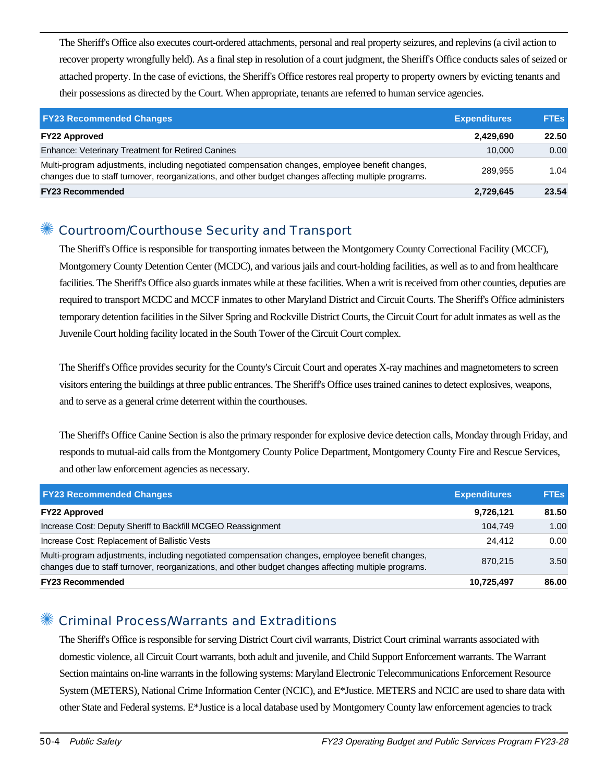The Sheriff's Office also executes court-ordered attachments, personal and real property seizures, and replevins (a civil action to recover property wrongfully held). As a final step in resolution of a court judgment, the Sheriff's Office conducts sales of seized or attached property. In the case of evictions, the Sheriff's Office restores real property to property owners by evicting tenants and their possessions as directed by the Court. When appropriate, tenants are referred to human service agencies.

| <b>FY23 Recommended Changes</b>                                                                                                                                                                          | <b>Expenditures</b> | <b>FTEs</b> |
|----------------------------------------------------------------------------------------------------------------------------------------------------------------------------------------------------------|---------------------|-------------|
| <b>FY22 Approved</b>                                                                                                                                                                                     | 2.429.690           | 22.50       |
| <b>Enhance: Veterinary Treatment for Retired Canines</b>                                                                                                                                                 | 10.000              | 0.00        |
| Multi-program adjustments, including negotiated compensation changes, employee benefit changes,<br>changes due to staff turnover, reorganizations, and other budget changes affecting multiple programs. | 289.955             | 1.04        |
| <b>FY23 Recommended</b>                                                                                                                                                                                  | 2,729,645           | 23.54       |

## ✺ Courtroom/Courthouse Security and Transport

The Sheriff's Office is responsible for transporting inmates between the Montgomery County Correctional Facility (MCCF), Montgomery County Detention Center (MCDC), and various jails and court-holding facilities, as well as to and from healthcare facilities. The Sheriff's Office also guards inmates while at these facilities. When a writ is received from other counties, deputies are required to transport MCDC and MCCF inmates to other Maryland District and Circuit Courts. The Sheriff's Office administers temporary detention facilities in the Silver Spring and Rockville District Courts, the Circuit Court for adult inmates as well as the Juvenile Court holding facility located in the South Tower of the Circuit Court complex.

The Sheriff's Office provides security for the County's Circuit Court and operates X-ray machines and magnetometers to screen visitors entering the buildings at three public entrances. The Sheriff's Office uses trained canines to detect explosives, weapons, and to serve as a general crime deterrent within the courthouses.

The Sheriff's Office Canine Section is also the primary responder for explosive device detection calls, Monday through Friday, and responds to mutual-aid calls from the Montgomery County Police Department, Montgomery County Fire and Rescue Services, and other law enforcement agencies as necessary.

| <b>FY23 Recommended Changes</b>                                                                                                                                                                          | <b>Expenditures</b> | <b>FTEs</b> |
|----------------------------------------------------------------------------------------------------------------------------------------------------------------------------------------------------------|---------------------|-------------|
| <b>FY22 Approved</b>                                                                                                                                                                                     | 9,726,121           | 81.50       |
| Increase Cost: Deputy Sheriff to Backfill MCGEO Reassignment                                                                                                                                             | 104.749             | 1.00        |
| Increase Cost: Replacement of Ballistic Vests                                                                                                                                                            | 24.412              | 0.00        |
| Multi-program adjustments, including negotiated compensation changes, employee benefit changes,<br>changes due to staff turnover, reorganizations, and other budget changes affecting multiple programs. | 870.215             | 3.50        |
| <b>FY23 Recommended</b>                                                                                                                                                                                  | 10,725,497          | 86.00       |

#### ✺ Criminal Process/Warrants and Extraditions

The Sheriff's Office is responsible for serving District Court civil warrants, District Court criminal warrants associated with domestic violence, all Circuit Court warrants, both adult and juvenile, and Child Support Enforcement warrants. The Warrant Section maintains on-line warrants in the following systems: Maryland Electronic Telecommunications Enforcement Resource System (METERS), National Crime Information Center (NCIC), and E\*Justice. METERS and NCIC are used to share data with other State and Federal systems. E\*Justice is a local database used by Montgomery County law enforcement agencies to track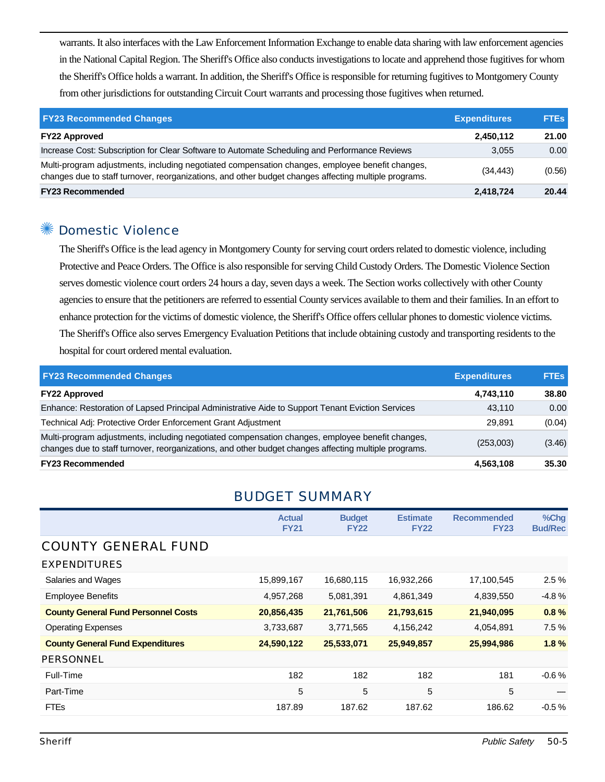warrants. It also interfaces with the Law Enforcement Information Exchange to enable data sharing with law enforcement agencies in the National Capital Region. The Sheriff's Office also conducts investigations to locate and apprehend those fugitives for whom the Sheriff's Office holds a warrant. In addition, the Sheriff's Office is responsible for returning fugitives to Montgomery County from other jurisdictions for outstanding Circuit Court warrants and processing those fugitives when returned.

| <b>FY23 Recommended Changes</b>                                                                                                                                                                          | <b>Expenditures</b> | <b>FTEs</b> |
|----------------------------------------------------------------------------------------------------------------------------------------------------------------------------------------------------------|---------------------|-------------|
| <b>FY22 Approved</b>                                                                                                                                                                                     | 2,450,112           | 21.00       |
| Increase Cost: Subscription for Clear Software to Automate Scheduling and Performance Reviews                                                                                                            | 3.055               | 0.00        |
| Multi-program adjustments, including negotiated compensation changes, employee benefit changes,<br>changes due to staff turnover, reorganizations, and other budget changes affecting multiple programs. | (34, 443)           | (0.56)      |
| <b>FY23 Recommended</b>                                                                                                                                                                                  | 2,418,724           | 20.44       |

## ✺ Domestic Violence

The Sheriff's Office is the lead agency in Montgomery County for serving court orders related to domestic violence, including Protective and Peace Orders. The Office is also responsible for serving Child Custody Orders. The Domestic Violence Section serves domestic violence court orders 24 hours a day, seven days a week. The Section works collectively with other County agencies to ensure that the petitioners are referred to essential County services available to them and their families. In an effort to enhance protection for the victims of domestic violence, the Sheriff's Office offers cellular phones to domestic violence victims. The Sheriff's Office also serves Emergency Evaluation Petitions that include obtaining custody and transporting residents to the hospital for court ordered mental evaluation.

| <b>FY23 Recommended Changes</b>                                                                                                                                                                          | <b>Expenditures</b> | <b>FTEs</b> |
|----------------------------------------------------------------------------------------------------------------------------------------------------------------------------------------------------------|---------------------|-------------|
| <b>FY22 Approved</b>                                                                                                                                                                                     | 4,743,110           | 38.80       |
| Enhance: Restoration of Lapsed Principal Administrative Aide to Support Tenant Eviction Services                                                                                                         | 43.110              | 0.00        |
| Technical Adj: Protective Order Enforcement Grant Adjustment                                                                                                                                             | 29.891              | (0.04)      |
| Multi-program adjustments, including negotiated compensation changes, employee benefit changes,<br>changes due to staff turnover, reorganizations, and other budget changes affecting multiple programs. | (253,003)           | (3.46)      |
| <b>FY23 Recommended</b>                                                                                                                                                                                  | 4,563,108           | 35.30       |

#### BUDGET SUMMARY

| <b>Actual</b><br><b>FY21</b> | <b>Budget</b><br><b>FY22</b> | <b>Estimate</b><br><b>FY22</b> | <b>Recommended</b><br><b>FY23</b> | %Chg<br><b>Bud/Rec</b> |
|------------------------------|------------------------------|--------------------------------|-----------------------------------|------------------------|
|                              |                              |                                |                                   |                        |
|                              |                              |                                |                                   |                        |
| 15,899,167                   | 16,680,115                   | 16,932,266                     | 17,100,545                        | 2.5%                   |
| 4,957,268                    | 5,081,391                    | 4,861,349                      | 4,839,550                         | $-4.8%$                |
| 20,856,435                   | 21,761,506                   | 21,793,615                     | 21,940,095                        | 0.8%                   |
| 3,733,687                    | 3,771,565                    | 4,156,242                      | 4,054,891                         | 7.5%                   |
| 24,590,122                   | 25,533,071                   | 25,949,857                     | 25,994,986                        | 1.8%                   |
|                              |                              |                                |                                   |                        |
| 182                          | 182                          | 182                            | 181                               | $-0.6%$                |
| 5                            | 5                            | 5                              | 5                                 |                        |
| 187.89                       | 187.62                       | 187.62                         | 186.62                            | $-0.5\%$               |
|                              |                              |                                |                                   |                        |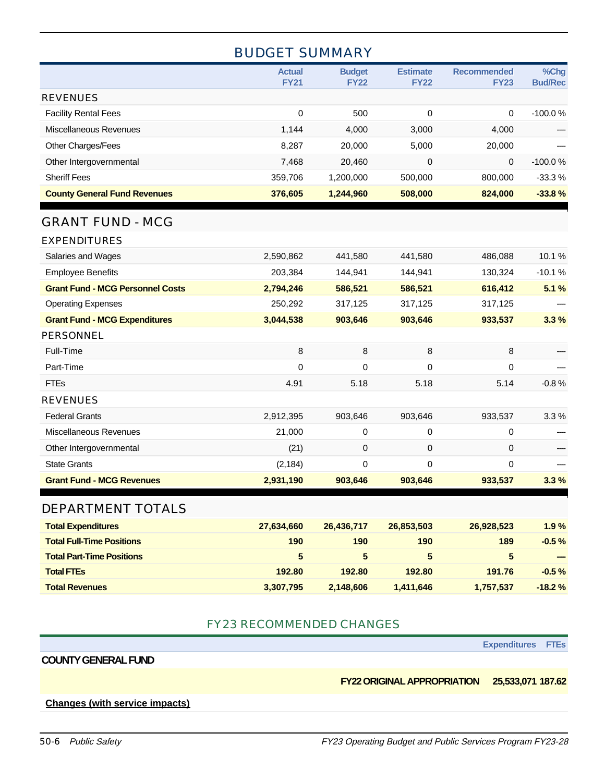## BUDGET SUMMARY

|                                         | <b>Actual</b><br><b>FY21</b> | <b>Budget</b><br><b>FY22</b> | <b>Estimate</b><br><b>FY22</b> | <b>Recommended</b><br><b>FY23</b> | %Chg<br><b>Bud/Rec</b> |
|-----------------------------------------|------------------------------|------------------------------|--------------------------------|-----------------------------------|------------------------|
| <b>REVENUES</b>                         |                              |                              |                                |                                   |                        |
| <b>Facility Rental Fees</b>             | 0                            | 500                          | 0                              | 0                                 | $-100.0%$              |
| Miscellaneous Revenues                  | 1,144                        | 4,000                        | 3,000                          | 4,000                             |                        |
| Other Charges/Fees                      | 8,287                        | 20,000                       | 5,000                          | 20,000                            |                        |
| Other Intergovernmental                 | 7,468                        | 20,460                       | 0                              | 0                                 | $-100.0%$              |
| <b>Sheriff Fees</b>                     | 359,706                      | 1,200,000                    | 500,000                        | 800,000                           | $-33.3%$               |
| <b>County General Fund Revenues</b>     | 376,605                      | 1,244,960                    | 508,000                        | 824,000                           | $-33.8%$               |
| <b>GRANT FUND - MCG</b>                 |                              |                              |                                |                                   |                        |
| <b>EXPENDITURES</b>                     |                              |                              |                                |                                   |                        |
| Salaries and Wages                      | 2,590,862                    | 441,580                      | 441,580                        | 486,088                           | 10.1%                  |
| <b>Employee Benefits</b>                | 203,384                      | 144,941                      | 144,941                        | 130,324                           | $-10.1%$               |
| <b>Grant Fund - MCG Personnel Costs</b> | 2,794,246                    | 586,521                      | 586,521                        | 616,412                           | 5.1%                   |
| <b>Operating Expenses</b>               | 250,292                      | 317,125                      | 317,125                        | 317,125                           |                        |
| <b>Grant Fund - MCG Expenditures</b>    | 3,044,538                    | 903,646                      | 903,646                        | 933,537                           | 3.3%                   |
| <b>PERSONNEL</b>                        |                              |                              |                                |                                   |                        |
| Full-Time                               | 8                            | 8                            | 8                              | 8                                 |                        |
| Part-Time                               | 0                            | $\Omega$                     | 0                              | 0                                 |                        |
| <b>FTEs</b>                             | 4.91                         | 5.18                         | 5.18                           | 5.14                              | $-0.8%$                |
| <b>REVENUES</b>                         |                              |                              |                                |                                   |                        |
| <b>Federal Grants</b>                   | 2,912,395                    | 903,646                      | 903,646                        | 933,537                           | 3.3%                   |
| Miscellaneous Revenues                  | 21,000                       | 0                            | 0                              | 0                                 |                        |
| Other Intergovernmental                 | (21)                         | 0                            | 0                              | 0                                 |                        |
| <b>State Grants</b>                     | (2, 184)                     | 0                            | 0                              | 0                                 |                        |
| <b>Grant Fund - MCG Revenues</b>        | 2,931,190                    | 903,646                      | 903,646                        | 933,537                           | 3.3%                   |
| DEPARTMENT TOTALS                       |                              |                              |                                |                                   |                        |
| <b>Total Expenditures</b>               | 27,634,660                   | 26,436,717                   | 26,853,503                     | 26,928,523                        | 1.9%                   |
| <b>Total Full-Time Positions</b>        | 190                          | 190                          | 190                            | 189                               | $-0.5%$                |
| <b>Total Part-Time Positions</b>        | 5                            | 5                            | $5\phantom{.0}$                | 5                                 |                        |
| <b>Total FTEs</b>                       | 192.80                       | 192.80                       | 192.80                         | 191.76                            | $-0.5%$                |
| <b>Total Revenues</b>                   | 3,307,795                    | 2,148,606                    | 1,411,646                      | 1,757,537                         | $-18.2%$               |

#### FY23 RECOMMENDED CHANGES

**Expenditures FTEs**

#### **COUNTY GENERAL FUND**

**FY22 ORIGINAL APPROPRIATION 25,533,071 187.62**

#### **Changes (with service impacts)**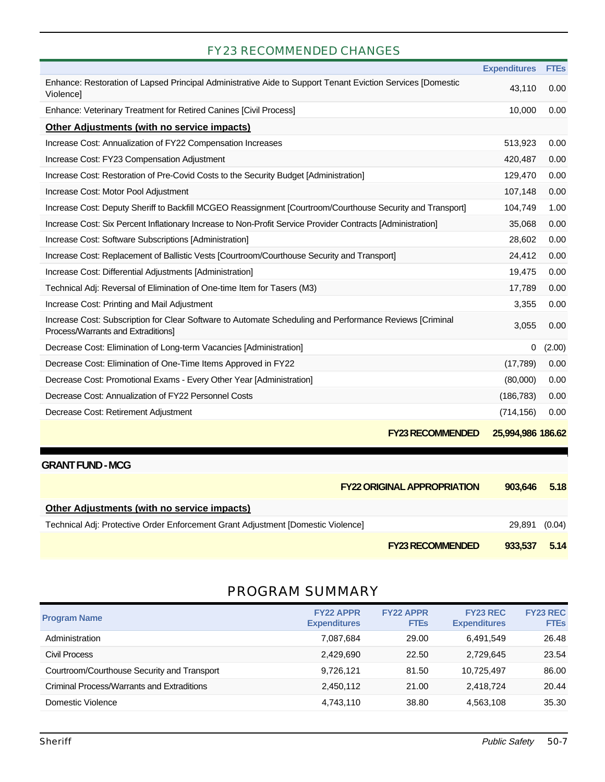### FY23 RECOMMENDED CHANGES

|                                                                                                                                               | <b>Expenditures</b> | <b>FTEs</b> |
|-----------------------------------------------------------------------------------------------------------------------------------------------|---------------------|-------------|
| Enhance: Restoration of Lapsed Principal Administrative Aide to Support Tenant Eviction Services [Domestic<br>Violence]                       | 43.110              | 0.00        |
| Enhance: Veterinary Treatment for Retired Canines [Civil Process]                                                                             | 10,000              | 0.00        |
| <b>Other Adjustments (with no service impacts)</b>                                                                                            |                     |             |
| Increase Cost: Annualization of FY22 Compensation Increases                                                                                   | 513,923             | 0.00        |
| Increase Cost: FY23 Compensation Adjustment                                                                                                   | 420,487             | 0.00        |
| Increase Cost: Restoration of Pre-Covid Costs to the Security Budget [Administration]                                                         | 129,470             | 0.00        |
| Increase Cost: Motor Pool Adjustment                                                                                                          | 107,148             | 0.00        |
| Increase Cost: Deputy Sheriff to Backfill MCGEO Reassignment [Courtroom/Courthouse Security and Transport]                                    | 104,749             | 1.00        |
| Increase Cost: Six Percent Inflationary Increase to Non-Profit Service Provider Contracts [Administration]                                    | 35,068              | 0.00        |
| Increase Cost: Software Subscriptions [Administration]                                                                                        | 28,602              | 0.00        |
| Increase Cost: Replacement of Ballistic Vests [Courtroom/Courthouse Security and Transport]                                                   | 24,412              | 0.00        |
| Increase Cost: Differential Adjustments [Administration]                                                                                      | 19,475              | 0.00        |
| Technical Adj: Reversal of Elimination of One-time Item for Tasers (M3)                                                                       | 17,789              | 0.00        |
| Increase Cost: Printing and Mail Adjustment                                                                                                   | 3,355               | 0.00        |
| Increase Cost: Subscription for Clear Software to Automate Scheduling and Performance Reviews [Criminal<br>Process/Warrants and Extraditions] | 3,055               | 0.00        |
| Decrease Cost: Elimination of Long-term Vacancies [Administration]                                                                            | $\Omega$            | (2.00)      |
| Decrease Cost: Elimination of One-Time Items Approved in FY22                                                                                 | (17,789)            | 0.00        |
| Decrease Cost: Promotional Exams - Every Other Year [Administration]                                                                          | (80,000)            | 0.00        |
| Decrease Cost: Annualization of FY22 Personnel Costs                                                                                          | (186, 783)          | 0.00        |
| Decrease Cost: Retirement Adjustment                                                                                                          | (714, 156)          | 0.00        |
|                                                                                                                                               |                     |             |

#### **FY23 RECOMMENDED 25,994,986 186.62**

|  |  |  | 25,994,986 186.62 |
|--|--|--|-------------------|
|--|--|--|-------------------|

| <b>GRANT FUND - MCG</b>                                                          |                                    |         |        |
|----------------------------------------------------------------------------------|------------------------------------|---------|--------|
|                                                                                  | <b>FY22 ORIGINAL APPROPRIATION</b> | 903.646 | 5.18   |
| <b>Other Adjustments (with no service impacts)</b>                               |                                    |         |        |
| Technical Adj: Protective Order Enforcement Grant Adjustment [Domestic Violence] |                                    | 29,891  | (0.04) |
|                                                                                  | <b>FY23 RECOMMENDED</b>            | 933.537 | 5.14   |

# PROGRAM SUMMARY

| <b>Program Name</b>                         | <b>FY22 APPR</b><br><b>Expenditures</b> | <b>FY22 APPR</b><br><b>FTEs</b> | <b>FY23 REC</b><br><b>Expenditures</b> | <b>FY23 REC</b><br><b>FTEs</b> |
|---------------------------------------------|-----------------------------------------|---------------------------------|----------------------------------------|--------------------------------|
| Administration                              | 7,087,684                               | 29.00                           | 6.491.549                              | 26.48                          |
| Civil Process                               | 2,429,690                               | 22.50                           | 2.729.645                              | 23.54                          |
| Courtroom/Courthouse Security and Transport | 9,726,121                               | 81.50                           | 10.725.497                             | 86.00                          |
| Criminal Process/Warrants and Extraditions  | 2,450,112                               | 21.00                           | 2.418.724                              | 20.44                          |
| Domestic Violence                           | 4,743,110                               | 38.80                           | 4,563,108                              | 35.30                          |